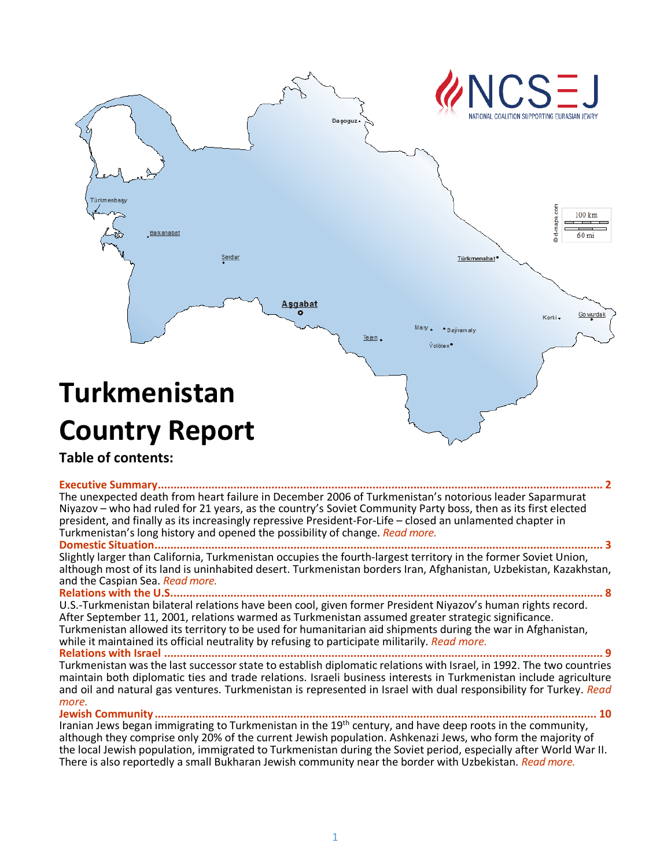

# **Table of contents:**

**[Executive Summary.............................................................................................................................................](#page-1-0) 2** The unexpected death from heart failure in December 2006 of Turkmenistan's notorious leader Saparmurat Niyazov – who had ruled for 21 years, as the country's Soviet Community Party boss, then as its first elected president, and finally as its increasingly repressive President-For-Life – closed an unlamented chapter in Turkmenistan's long history and opened the possibility of change. *[Read more.](#page-1-0)*

**[Domestic Situation..............................................................................................................................................](#page-2-0) 3**

Slightly larger than California, Turkmenistan occupies the fourth-largest territory in the former Soviet Union, although most of its [land is uninh](#page-2-0)abiteddesert. Turkmenistan borders Iran, Afghanistan, Uzbekistan, Kazakhstan,<br>and the Caspian Sea. *Read more.* 

**[Relations with the U.S.........................................................................................................................................](#page-8-0) 8** U.S.-Turkmenistan bilateral relations have been cool, given former President Niyazov's human rights record. After September 11, 2001, relations warmed as Turkmenistan assumed greater strategic significance. Turkmenistan allowed its territory to be used for humanitarian aid shipments during the war in Afghanistan, while it maintained its official neutrality by refusing to participate militarily. *[Read more.](#page-8-0)*

**Relations with Israel [...........................................................................................................................................](#page-9-0) 9** Turkmenistan was the last successor state to establish diplomatic relations with Israel, in 1992. The two countries maintain both diplomatic ties and trade relations. Israeli business interests in Turkmenistan include agriculture and oil and natural gas ventures. Turkmenistan is represented in Israel with dual responsibility for Turkey. *[Read](#page-9-0)  [more.](#page-9-0)*

**[Jewish Community............................................................................................................................................](#page-9-1) 10** Iranian Jews began immigrating to Turkmenistan in the 19<sup>th</sup> century, and have deep roots in the community, although they comprise only 20% of the current Jewish population. Ashkenazi Jews, who form the majority of the local Jewish population, immigrated to Turkmenistan during the Soviet period, especially after World War II. There is also reportedly a small Bukharan Jewish community near the border with Uzbekistan. *[Read more.](#page-9-1)*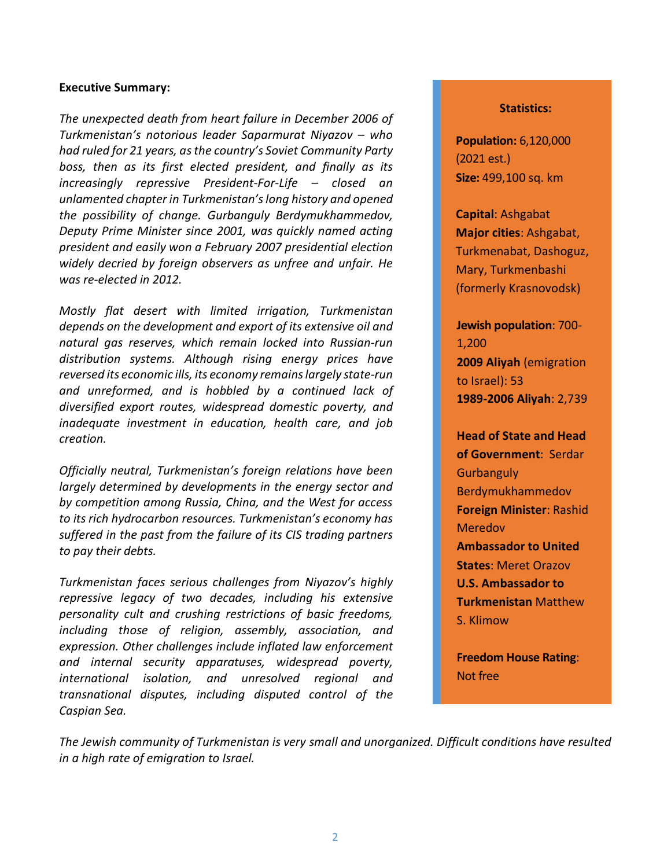#### <span id="page-1-0"></span>**Executive Summary:**

*The unexpected death from heart failure in December 2006 of Turkmenistan's notorious leader Saparmurat Niyazov – who had ruled for 21 years, as the country's Soviet Community Party boss, then as its first elected president, and finally as its increasingly repressive President-For-Life – closed an unlamented chapter in Turkmenistan's long history and opened the possibility of change. Gurbanguly Berdymukhammedov, Deputy Prime Minister since 2001, was quickly named acting president and easily won a February 2007 presidential election widely decried by foreign observers as unfree and unfair. He was re-elected in 2012.*

*Mostly flat desert with limited irrigation, Turkmenistan depends on the development and export of its extensive oil and natural gas reserves, which remain locked into Russian-run distribution systems. Although rising energy prices have reversed its economic ills, its economy remains largely state-run and unreformed, and is hobbled by a continued lack of diversified export routes, widespread domestic poverty, and inadequate investment in education, health care, and job creation.*

*Officially neutral, Turkmenistan's foreign relations have been largely determined by developments in the energy sector and by competition among Russia, China, and the West for access to its rich hydrocarbon resources. Turkmenistan's economy has suffered in the past from the failure of its CIS trading partners to pay their debts.*

*Turkmenistan faces serious challenges from Niyazov's highly repressive legacy of two decades, including his extensive personality cult and crushing restrictions of basic freedoms, including those of religion, assembly, association, and expression. Other challenges include inflated law enforcement and internal security apparatuses, widespread poverty, international isolation, and unresolved regional and transnational disputes, including disputed control of the Caspian Sea.*

#### **Statistics:**

**Population:** 6,120,000 (2021 est.) **Size:** 499,100 sq. km

**Capital**: Ashgabat **Major cities**: Ashgabat, Turkmenabat, Dashoguz, Mary, Turkmenbashi (formerly Krasnovodsk)

**Jewish population**: 700- 1,200 **2009 Aliyah** (emigration to Israel): 53 **1989-2006 Aliyah**: 2,739

**Head of State and Head of Government**: Serdar **Gurbanguly** Berdymukhammedov **Foreign Minister**: Rashid Meredov **Ambassador to United States**: Meret Orazov **U.S. Ambassador to Turkmenistan** Matthew S. Klimow

**Freedom House Rating**: Not free

*The Jewish community of Turkmenistan is very small and unorganized. Difficult conditions have resulted in a high rate of emigration to Israel.*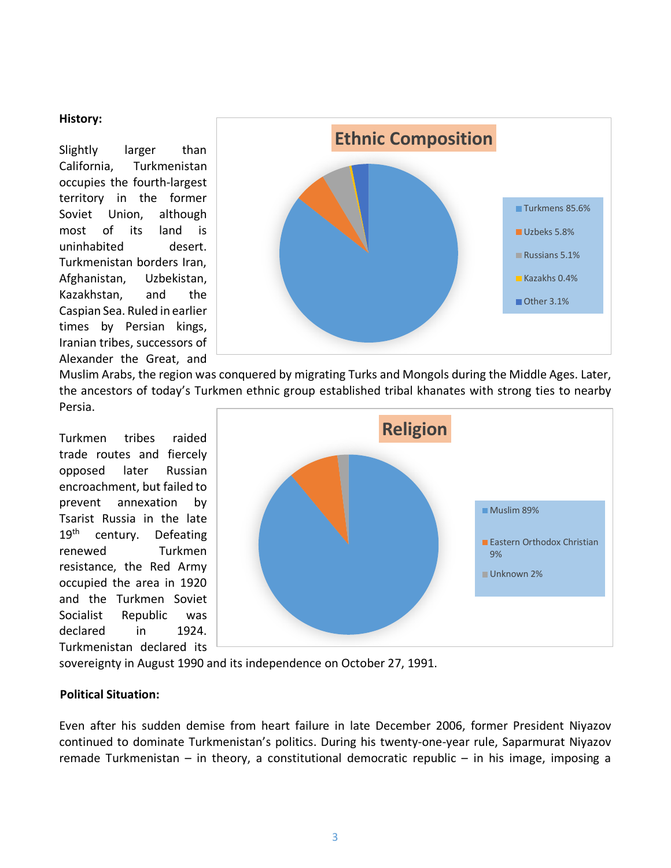#### <span id="page-2-0"></span>**History:**

Slightly larger than California, Turkmenistan occupies the fourth-largest territory in the former Soviet Union, although most of its land is uninhabited desert. Turkmenistan borders Iran, Afghanistan, Uzbekistan, Kazakhstan, and the Caspian Sea. Ruled in earlier times by Persian kings, Iranian tribes, successors of Alexander the Great, and



Muslim Arabs, the region was conquered by migrating Turks and Mongols during the Middle Ages. Later, the ancestors of today's Turkmen ethnic group established tribal khanates with strong ties to nearby Persia.

Turkmen tribes raided trade routes and fiercely opposed later Russian encroachment, but failed to prevent annexation by Tsarist Russia in the late 19<sup>th</sup> century. Defeating renewed Turkmen resistance, the Red Army occupied the area in 1920 and the Turkmen Soviet Socialist Republic was declared in 1924. Turkmenistan declared its



sovereignty in August 1990 and its independence on October 27, 1991.

### **Political Situation:**

Even after his sudden demise from heart failure in late December 2006, former President Niyazov continued to dominate Turkmenistan's politics. During his twenty-one-year rule, Saparmurat Niyazov remade Turkmenistan – in theory, a constitutional democratic republic – in his image, imposing a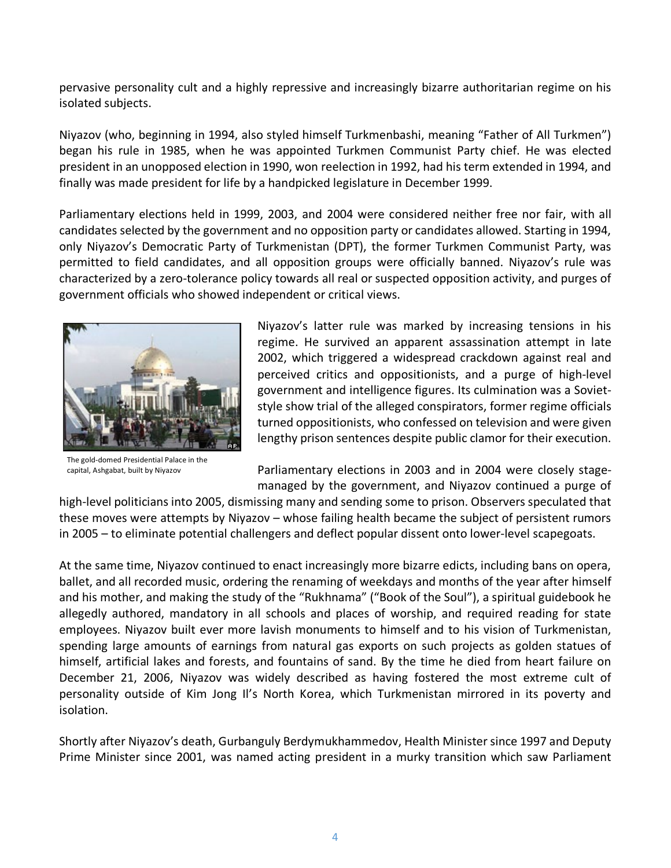pervasive personality cult and a highly repressive and increasingly bizarre authoritarian regime on his isolated subjects.

Niyazov (who, beginning in 1994, also styled himself Turkmenbashi, meaning "Father of All Turkmen") began his rule in 1985, when he was appointed Turkmen Communist Party chief. He was elected president in an unopposed election in 1990, won reelection in 1992, had his term extended in 1994, and finally was made president for life by a handpicked legislature in December 1999.

Parliamentary elections held in 1999, 2003, and 2004 were considered neither free nor fair, with all candidates selected by the government and no opposition party or candidates allowed. Starting in 1994, only Niyazov's Democratic Party of Turkmenistan (DPT), the former Turkmen Communist Party, was permitted to field candidates, and all opposition groups were officially banned. Niyazov's rule was characterized by a zero-tolerance policy towards all real or suspected opposition activity, and purges of government officials who showed independent or critical views.



The gold-domed Presidential Palace in the capital, Ashgabat, built by Niyazov

Niyazov's latter rule was marked by increasing tensions in his regime. He survived an apparent assassination attempt in late 2002, which triggered a widespread crackdown against real and perceived critics and oppositionists, and a purge of high-level government and intelligence figures. Its culmination was a Sovietstyle show trial of the alleged conspirators, former regime officials turned oppositionists, who confessed on television and were given lengthy prison sentences despite public clamor for their execution.

Parliamentary elections in 2003 and in 2004 were closely stagemanaged by the government, and Niyazov continued a purge of

high-level politicians into 2005, dismissing many and sending some to prison. Observers speculated that these moves were attempts by Niyazov – whose failing health became the subject of persistent rumors in 2005 – to eliminate potential challengers and deflect popular dissent onto lower-level scapegoats.

At the same time, Niyazov continued to enact increasingly more bizarre edicts, including bans on opera, ballet, and all recorded music, ordering the renaming of weekdays and months of the year after himself and his mother, and making the study of the "Rukhnama" ("Book of the Soul"), a spiritual guidebook he allegedly authored, mandatory in all schools and places of worship, and required reading for state employees. Niyazov built ever more lavish monuments to himself and to his vision of Turkmenistan, spending large amounts of earnings from natural gas exports on such projects as golden statues of himself, artificial lakes and forests, and fountains of sand. By the time he died from heart failure on December 21, 2006, Niyazov was widely described as having fostered the most extreme cult of personality outside of Kim Jong Il's North Korea, which Turkmenistan mirrored in its poverty and isolation.

Shortly after Niyazov's death, Gurbanguly Berdymukhammedov, Health Minister since 1997 and Deputy Prime Minister since 2001, was named acting president in a murky transition which saw Parliament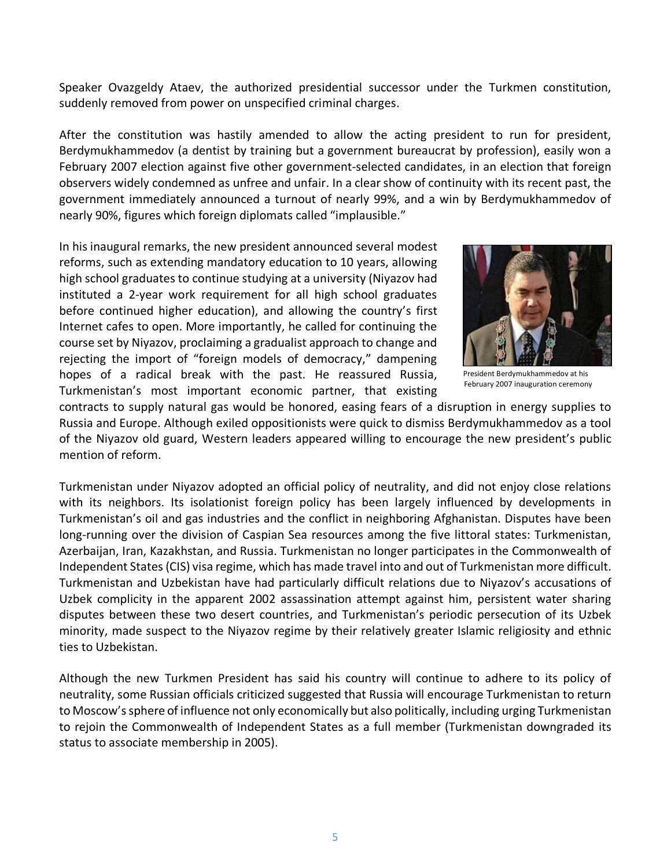Speaker Ovazgeldy Ataev, the authorized presidential successor under the Turkmen constitution, suddenly removed from power on unspecified criminal charges.

After the constitution was hastily amended to allow the acting president to run for president, Berdymukhammedov (a dentist by training but a government bureaucrat by profession), easily won a February 2007 election against five other government-selected candidates, in an election that foreign observers widely condemned as unfree and unfair. In a clear show of continuity with its recent past, the government immediately announced a turnout of nearly 99%, and a win by Berdymukhammedov of nearly 90%, figures which foreign diplomats called "implausible."

In his inaugural remarks, the new president announced several modest reforms, such as extending mandatory education to 10 years, allowing high school graduates to continue studying at a university (Niyazov had instituted a 2-year work requirement for all high school graduates before continued higher education), and allowing the country's first Internet cafes to open. More importantly, he called for continuing the course set by Niyazov, proclaiming a gradualist approach to change and rejecting the import of "foreign models of democracy," dampening hopes of a radical break with the past. He reassured Russia, Turkmenistan's most important economic partner, that existing



President Berdymukhammedov at his February 2007 inauguration ceremony

contracts to supply natural gas would be honored, easing fears of a disruption in energy supplies to Russia and Europe. Although exiled oppositionists were quick to dismiss Berdymukhammedov as a tool of the Niyazov old guard, Western leaders appeared willing to encourage the new president's public mention of reform.

Turkmenistan under Niyazov adopted an official policy of neutrality, and did not enjoy close relations with its neighbors. Its isolationist foreign policy has been largely influenced by developments in Turkmenistan's oil and gas industries and the conflict in neighboring Afghanistan. Disputes have been long-running over the division of Caspian Sea resources among the five littoral states: Turkmenistan, Azerbaijan, Iran, Kazakhstan, and Russia. Turkmenistan no longer participates in the Commonwealth of Independent States (CIS) visa regime, which has made travel into and out of Turkmenistan more difficult. Turkmenistan and Uzbekistan have had particularly difficult relations due to Niyazov's accusations of Uzbek complicity in the apparent 2002 assassination attempt against him, persistent water sharing disputes between these two desert countries, and Turkmenistan's periodic persecution of its Uzbek minority, made suspect to the Niyazov regime by their relatively greater Islamic religiosity and ethnic ties to Uzbekistan.

Although the new Turkmen President has said his country will continue to adhere to its policy of neutrality, some Russian officials criticized suggested that Russia will encourage Turkmenistan to return to Moscow's sphere of influence not only economically but also politically, including urging Turkmenistan to rejoin the Commonwealth of Independent States as a full member (Turkmenistan downgraded its status to associate membership in 2005).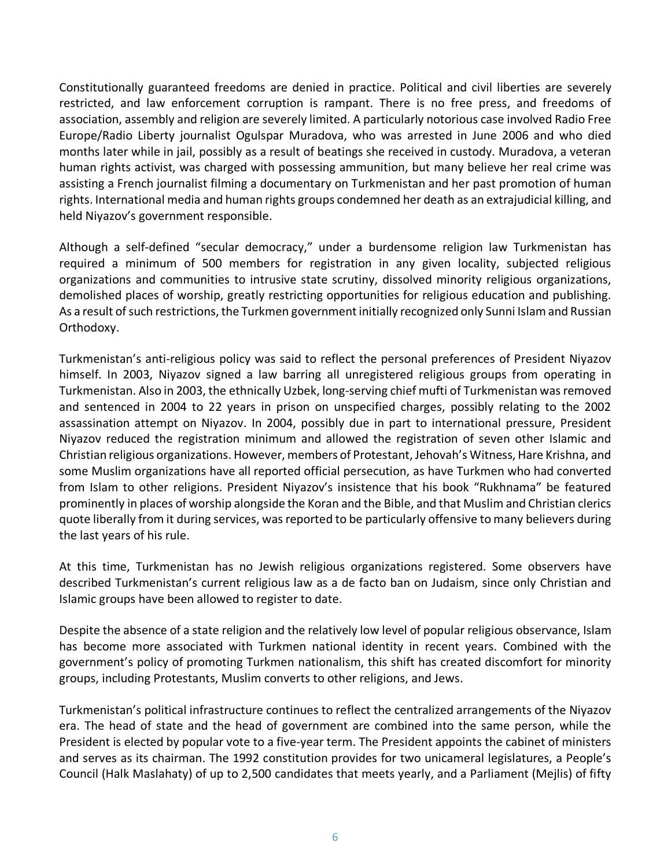Constitutionally guaranteed freedoms are denied in practice. Political and civil liberties are severely restricted, and law enforcement corruption is rampant. There is no free press, and freedoms of association, assembly and religion are severely limited. A particularly notorious case involved Radio Free Europe/Radio Liberty journalist Ogulspar Muradova, who was arrested in June 2006 and who died months later while in jail, possibly as a result of beatings she received in custody. Muradova, a veteran human rights activist, was charged with possessing ammunition, but many believe her real crime was assisting a French journalist filming a documentary on Turkmenistan and her past promotion of human rights. International media and human rights groups condemned her death as an extrajudicial killing, and held Niyazov's government responsible.

Although a self-defined "secular democracy," under a burdensome religion law Turkmenistan has required a minimum of 500 members for registration in any given locality, subjected religious organizations and communities to intrusive state scrutiny, dissolved minority religious organizations, demolished places of worship, greatly restricting opportunities for religious education and publishing. As a result of such restrictions, the Turkmen government initially recognized only Sunni Islam and Russian Orthodoxy.

Turkmenistan's anti-religious policy was said to reflect the personal preferences of President Niyazov himself. In 2003, Niyazov signed a law barring all unregistered religious groups from operating in Turkmenistan. Also in 2003, the ethnically Uzbek, long-serving chief mufti of Turkmenistan was removed and sentenced in 2004 to 22 years in prison on unspecified charges, possibly relating to the 2002 assassination attempt on Niyazov. In 2004, possibly due in part to international pressure, President Niyazov reduced the registration minimum and allowed the registration of seven other Islamic and Christian religious organizations. However, members of Protestant, Jehovah's Witness, Hare Krishna, and some Muslim organizations have all reported official persecution, as have Turkmen who had converted from Islam to other religions. President Niyazov's insistence that his book "Rukhnama" be featured prominently in places of worship alongside the Koran and the Bible, and that Muslim and Christian clerics quote liberally from it during services, was reported to be particularly offensive to many believers during the last years of his rule.

At this time, Turkmenistan has no Jewish religious organizations registered. Some observers have described Turkmenistan's current religious law as a de facto ban on Judaism, since only Christian and Islamic groups have been allowed to register to date.

Despite the absence of a state religion and the relatively low level of popular religious observance, Islam has become more associated with Turkmen national identity in recent years. Combined with the government's policy of promoting Turkmen nationalism, this shift has created discomfort for minority groups, including Protestants, Muslim converts to other religions, and Jews.

Turkmenistan's political infrastructure continues to reflect the centralized arrangements of the Niyazov era. The head of state and the head of government are combined into the same person, while the President is elected by popular vote to a five-year term. The President appoints the cabinet of ministers and serves as its chairman. The 1992 constitution provides for two unicameral legislatures, a People's Council (Halk Maslahaty) of up to 2,500 candidates that meets yearly, and a Parliament (Mejlis) of fifty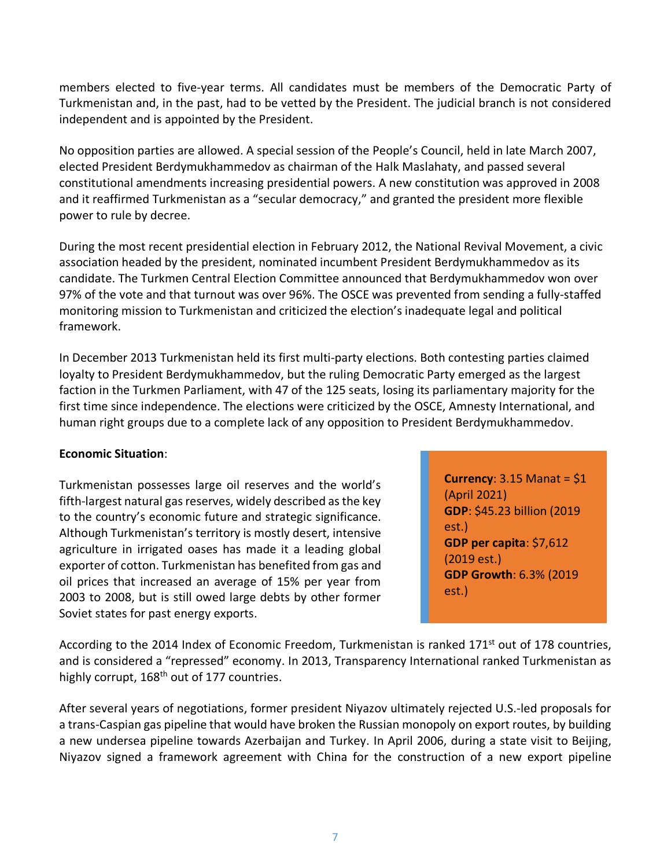members elected to five-year terms. All candidates must be members of the Democratic Party of Turkmenistan and, in the past, had to be vetted by the President. The judicial branch is not considered independent and is appointed by the President.

No opposition parties are allowed. A special session of the People's Council, held in late March 2007, elected President Berdymukhammedov as chairman of the Halk Maslahaty, and passed several constitutional amendments increasing presidential powers. A new constitution was approved in 2008 and it reaffirmed Turkmenistan as a "secular democracy," and granted the president more flexible power to rule by decree.

During the most recent presidential election in February 2012, the National Revival Movement, a civic association headed by the president, nominated incumbent President Berdymukhammedov as its candidate. The Turkmen Central Election Committee announced that Berdymukhammedov won over 97% of the vote and that turnout was over 96%. The OSCE was prevented from sending a fully-staffed monitoring mission to Turkmenistan and criticized the election's inadequate legal and political framework.

In December 2013 Turkmenistan held its first multi-party elections. Both contesting parties claimed loyalty to President Berdymukhammedov, but the ruling Democratic Party emerged as the largest faction in the Turkmen Parliament, with 47 of the 125 seats, losing its parliamentary majority for the first time since independence. The elections were criticized by the OSCE, Amnesty International, and human right groups due to a complete lack of any opposition to President Berdymukhammedov.

### **Economic Situation**:

Turkmenistan possesses large oil reserves and the world's fifth-largest natural gas reserves, widely described as the key to the country's economic future and strategic significance. Although Turkmenistan's territory is mostly desert, intensive agriculture in irrigated oases has made it a leading global exporter of cotton. Turkmenistan has benefited from gas and oil prices that increased an average of 15% per year from 2003 to 2008, but is still owed large debts by other former Soviet states for past energy exports.

**Currency**: 3.15 Manat = \$1 (April 2021) **GDP**: \$45.23 billion (2019 est.) **GDP per capita**: \$7,612 (2019 est.) **GDP Growth**: 6.3% (2019 est.)

According to the 2014 Index of Economic Freedom, Turkmenistan is ranked 171<sup>st</sup> out of 178 countries, and is considered a "repressed" economy. In 2013, Transparency International ranked Turkmenistan as highly corrupt, 168<sup>th</sup> out of 177 countries.

After several years of negotiations, former president Niyazov ultimately rejected U.S.-led proposals for a trans-Caspian gas pipeline that would have broken the Russian monopoly on export routes, by building a new undersea pipeline towards Azerbaijan and Turkey. In April 2006, during a state visit to Beijing, Niyazov signed a framework agreement with China for the construction of a new export pipeline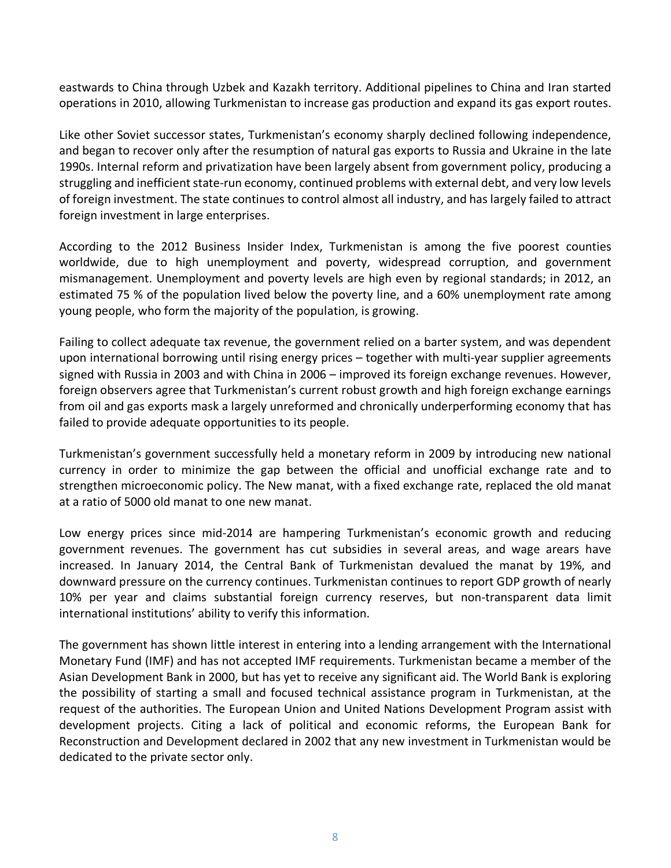eastwards to China through Uzbek and Kazakh territory. Additional pipelines to China and Iran started operations in 2010, allowing Turkmenistan to increase gas production and expand its gas export routes.

Like other Soviet successor states, Turkmenistan's economy sharply declined following independence, and began to recover only after the resumption of natural gas exports to Russia and Ukraine in the late 1990s. Internal reform and privatization have been largely absent from government policy, producing a struggling and inefficient state-run economy, continued problems with external debt, and very low levels of foreign investment. The state continues to control almost all industry, and has largely failed to attract foreign investment in large enterprises.

According to the 2012 Business Insider Index, Turkmenistan is among the five poorest counties worldwide, due to high unemployment and poverty, widespread corruption, and government mismanagement. Unemployment and poverty levels are high even by regional standards; in 2012, an estimated 75 % of the population lived below the poverty line, and a 60% unemployment rate among young people, who form the majority of the population, is growing.

Failing to collect adequate tax revenue, the government relied on a barter system, and was dependent upon international borrowing until rising energy prices – together with multi-year supplier agreements signed with Russia in 2003 and with China in 2006 – improved its foreign exchange revenues. However, foreign observers agree that Turkmenistan's current robust growth and high foreign exchange earnings from oil and gas exports mask a largely unreformed and chronically underperforming economy that has failed to provide adequate opportunities to its people.

Turkmenistan's government successfully held a monetary reform in 2009 by introducing new national currency in order to minimize the gap between the official and unofficial exchange rate and to strengthen microeconomic policy. The New manat, with a fixed exchange rate, replaced the old manat at a ratio of 5000 old manat to one new manat.

Low energy prices since mid-2014 are hampering Turkmenistan's economic growth and reducing government revenues. The government has cut subsidies in several areas, and wage arears have increased. In January 2014, the Central Bank of Turkmenistan devalued the manat by 19%, and downward pressure on the currency continues. Turkmenistan continues to report GDP growth of nearly 10% per year and claims substantial foreign currency reserves, but non-transparent data limit international institutions' ability to verify this information.

The government has shown little interest in entering into a lending arrangement with the International Monetary Fund (IMF) and has not accepted IMF requirements. Turkmenistan became a member of the Asian Development Bank in 2000, but has yet to receive any significant aid. The World Bank is exploring the possibility of starting a small and focused technical assistance program in Turkmenistan, at the request of the authorities. The European Union and United Nations Development Program assist with development projects. Citing a lack of political and economic reforms, the European Bank for Reconstruction and Development declared in 2002 that any new investment in Turkmenistan would be dedicated to the private sector only.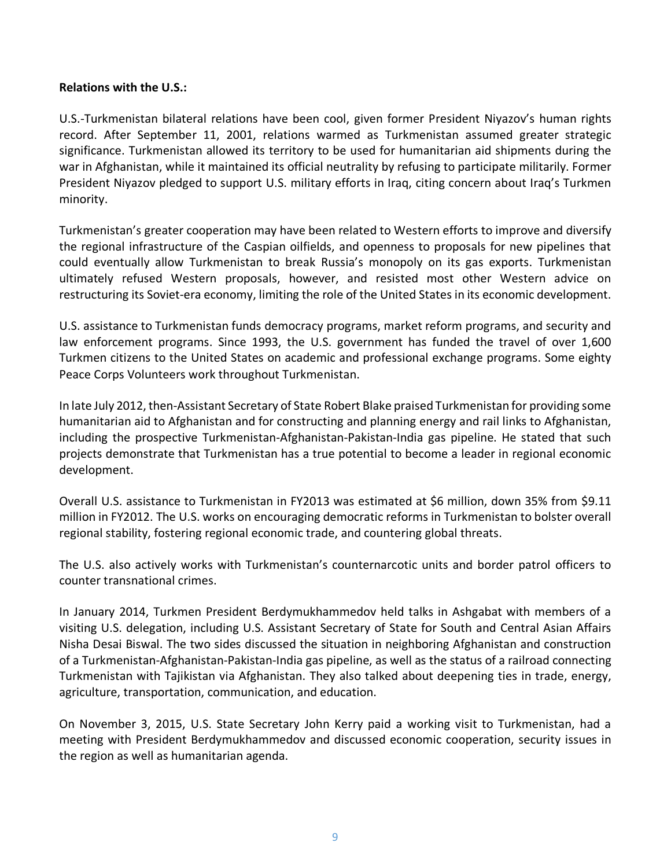### <span id="page-8-0"></span>**Relations with the U.S.:**

U.S.-Turkmenistan bilateral relations have been cool, given former President Niyazov's human rights record. After September 11, 2001, relations warmed as Turkmenistan assumed greater strategic significance. Turkmenistan allowed its territory to be used for humanitarian aid shipments during the war in Afghanistan, while it maintained its official neutrality by refusing to participate militarily. Former President Niyazov pledged to support U.S. military efforts in Iraq, citing concern about Iraq's Turkmen minority.

Turkmenistan's greater cooperation may have been related to Western efforts to improve and diversify the regional infrastructure of the Caspian oilfields, and openness to proposals for new pipelines that could eventually allow Turkmenistan to break Russia's monopoly on its gas exports. Turkmenistan ultimately refused Western proposals, however, and resisted most other Western advice on restructuring its Soviet-era economy, limiting the role of the United States in its economic development.

U.S. assistance to Turkmenistan funds democracy programs, market reform programs, and security and law enforcement programs. Since 1993, the U.S. government has funded the travel of over 1,600 Turkmen citizens to the United States on academic and professional exchange programs. Some eighty Peace Corps Volunteers work throughout Turkmenistan.

In late July 2012, then-Assistant Secretary of State Robert Blake praised Turkmenistan for providing some humanitarian aid to Afghanistan and for constructing and planning energy and rail links to Afghanistan, including the prospective Turkmenistan-Afghanistan-Pakistan-India gas pipeline. He stated that such projects demonstrate that Turkmenistan has a true potential to become a leader in regional economic development.

Overall U.S. assistance to Turkmenistan in FY2013 was estimated at \$6 million, down 35% from \$9.11 million in FY2012. The U.S. works on encouraging democratic reforms in Turkmenistan to bolster overall regional stability, fostering regional economic trade, and countering global threats.

The U.S. also actively works with Turkmenistan's counternarcotic units and border patrol officers to counter transnational crimes.

In January 2014, Turkmen President Berdymukhammedov held talks in Ashgabat with members of a visiting U.S. delegation, including U.S. Assistant Secretary of State for South and Central Asian Affairs Nisha Desai Biswal. The two sides discussed the situation in neighboring Afghanistan and construction of a Turkmenistan-Afghanistan-Pakistan-India gas pipeline, as well as the status of a railroad connecting Turkmenistan with Tajikistan via Afghanistan. They also talked about deepening ties in trade, energy, agriculture, transportation, communication, and education.

On November 3, 2015, U.S. State Secretary John Kerry paid a working visit to Turkmenistan, had a meeting with President Berdymukhammedov and discussed economic cooperation, security issues in the region as well as humanitarian agenda.